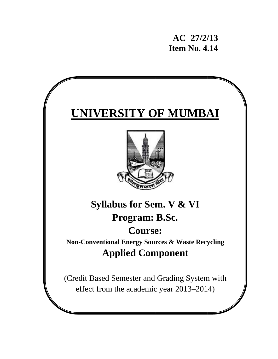AC 27/2/13 **Item No. 4.14** 

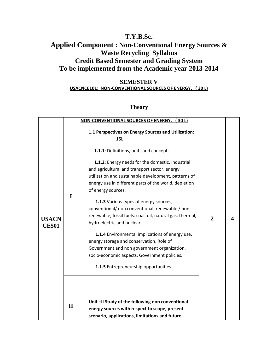## **T.Y.B.Sc. Applied Component : Non-Conventional Energy Sources & Waste Recycling Syllabus Credit Based Semester and Grading System To be implemented from the Academic year 2013-2014**

#### **SEMESTER V USACNCE101: NON‐CONVENTIONAL SOURCES OF ENERGY. ( 30 L)**

### **Theory**

|                              |              | <b>NON-CONVENTIONAL SOURCES OF ENERGY. (30 L)</b>                                                                                                                                                                                                                                                                                                                                                                                                                          |              |  |
|------------------------------|--------------|----------------------------------------------------------------------------------------------------------------------------------------------------------------------------------------------------------------------------------------------------------------------------------------------------------------------------------------------------------------------------------------------------------------------------------------------------------------------------|--------------|--|
|                              |              | 1.1 Perspectives on Energy Sources and Utilization:<br><b>15L</b>                                                                                                                                                                                                                                                                                                                                                                                                          |              |  |
| <b>USACN</b><br><b>CE501</b> | I            | 1.1.1: Definitions, units and concept.<br>1.1.2: Energy needs for the domestic, industrial<br>and agricultural and transport sector, energy<br>utilization and sustainable development, patterns of<br>energy use in different parts of the world, depletion<br>of energy sources.<br>1.1.3 Various types of energy sources,<br>conventional/ non conventional, renewable / non<br>renewable, fossil fuels: coal, oil, natural gas; thermal,<br>hydroelectric and nuclear. | $\mathbf{2}$ |  |
|                              |              | 1.1.4 Environmental implications of energy use,<br>energy storage and conservation, Role of<br>Government and non government organization,<br>socio-economic aspects, Government policies.<br>1.1.5 Entrepreneurship opportunities                                                                                                                                                                                                                                         |              |  |
|                              | $\mathbf{I}$ | Unit-II Study of the following non conventional<br>energy sources with respect to scope, present<br>scenario, applications, limitations and future                                                                                                                                                                                                                                                                                                                         |              |  |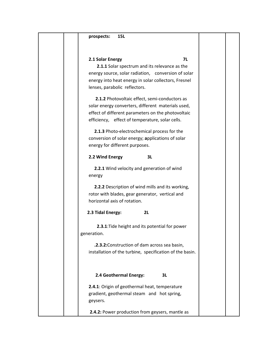#### **2.1 Solar Energy 7L**

**2.1.1** Solar spectrum and its relevance as the energy source, solar radiation, conversion of solar energy into heat energy in solar collectors, Fresnel lenses, parabolic reflectors.

 **2.1.2** Photovoltaic effect, semi‐conductors as solar energy converters, different materials used, effect of different parameters on the photovoltaic efficiency, effect of temperature, solar cells.

 **2.1.3** Photo‐electrochemical process for the conversion of solar energy; **a**pplications of solar energy for different purposes.

#### **2.2 Wind Energy 3L**

 **2.2.1** Wind velocity and generation of wind energy

 **2.2.2** Description of wind mills and its working, rotor with blades, gear generator, vertical and horizontal axis of rotation.

 $\mathcal{L}=\{1,2,3,4,5\}$ 

**2.3 Tidal Energy: 2L** 

**2.3.1**:Tide height and its potential for power generation.

 **.2.3.2:**Construction of dam across sea basin, installation of the turbine, specification of the basin.

 **2.4 Geothermal Energy: 3L** 

**2.4.1**: Origin of geothermal heat, temperature gradient, geothermal steam and hot spring, geysers.

**2.4.2:** Power production from geysers, mantle as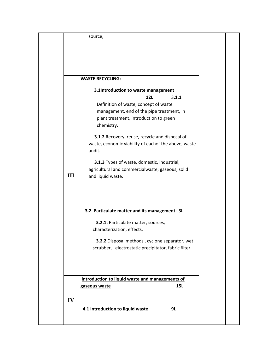|     | source,                                                                                                                                                                                                                      |  |
|-----|------------------------------------------------------------------------------------------------------------------------------------------------------------------------------------------------------------------------------|--|
|     |                                                                                                                                                                                                                              |  |
|     |                                                                                                                                                                                                                              |  |
|     |                                                                                                                                                                                                                              |  |
|     |                                                                                                                                                                                                                              |  |
|     | <b>WASTE RECYCLING:</b>                                                                                                                                                                                                      |  |
|     | 3.1Introduction to waste management :                                                                                                                                                                                        |  |
|     | 12L<br>3.1.1                                                                                                                                                                                                                 |  |
|     | Definition of waste, concept of waste                                                                                                                                                                                        |  |
|     | management, end of the pipe treatment, in                                                                                                                                                                                    |  |
|     | plant treatment, introduction to green<br>chemistry.                                                                                                                                                                         |  |
|     | 3.1.2 Recovery, reuse, recycle and disposal of                                                                                                                                                                               |  |
|     | waste, economic viability of eachof the above, waste                                                                                                                                                                         |  |
|     | audit.                                                                                                                                                                                                                       |  |
|     | 3.1.3 Types of waste, domestic, industrial,                                                                                                                                                                                  |  |
|     | agricultural and commercialwaste; gaseous, solid                                                                                                                                                                             |  |
| III | and liquid waste.                                                                                                                                                                                                            |  |
|     | 3.2 Particulate matter and its management: 3L<br>3.2.1: Particulate matter, sources,<br>characterization, effects.<br>3.2.2 Disposal methods, cyclone separator, wet<br>scrubber, electrostatic precipitator, fabric filter. |  |
|     | Introduction to liquid waste and managements of                                                                                                                                                                              |  |
|     | <b>15L</b><br>gaseous waste                                                                                                                                                                                                  |  |
| IV  |                                                                                                                                                                                                                              |  |
|     |                                                                                                                                                                                                                              |  |
|     | 4.1 Introduction to liquid waste<br><b>9L</b>                                                                                                                                                                                |  |
|     |                                                                                                                                                                                                                              |  |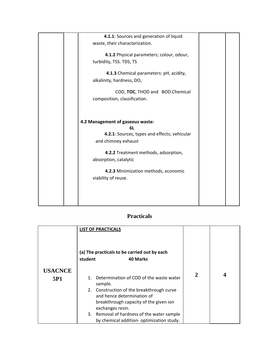| 4.1.1: Sources and generation of liquid<br>waste, their characterization.              |  |
|----------------------------------------------------------------------------------------|--|
| 4.1.2 Physical parameters; colour, odour,<br>turbidity, TSS. TDS, TS                   |  |
| 4.1.3 Chemical parameters: pH, acidity,<br>alkalinity, hardness, DO,                   |  |
| COD, TOC, THOD and BOD.Chemical<br>composition, classification.                        |  |
| 4.2 Management of gaseous waste:<br>6L<br>4.2.1: Sources, types and effects; vehicular |  |
| and chimney exhaust<br>4.2.2 Treatment methods, adsorption,                            |  |
| absorption, catalytic<br>4.2.3 Minimization methods, economic                          |  |
| viability of reuse.                                                                    |  |
|                                                                                        |  |

# **Practicals**

|                | <b>LIST OF PRACTICALS</b>                                                                                                             |                |  |
|----------------|---------------------------------------------------------------------------------------------------------------------------------------|----------------|--|
|                | (a) The practicals to be carried out by each<br>student<br>40 Marks                                                                   |                |  |
| <b>USACNCE</b> |                                                                                                                                       |                |  |
| 5P1            | Determination of COD of the waste water<br>$\mathbf{1}$ .<br>sample.                                                                  | $\overline{2}$ |  |
|                | 2. Construction of the breakthrough curve<br>and hence determination of<br>breakthrough capacity of the given ion<br>exchanges resin. |                |  |
|                | 3. Removal of hardness of the water sample<br>by chemical addition- optimization study.                                               |                |  |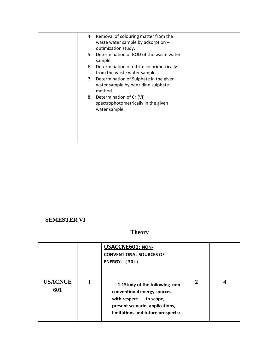| 4. Removal of colouring matter from the<br>waste water sample by adsorption -<br>optimization study. |  |
|------------------------------------------------------------------------------------------------------|--|
| Determination of BOD of the waste water<br>5.<br>sample.                                             |  |
| 6. Determination of nitrite colorimetrically<br>from the waste water sample.                         |  |
| 7. Determination of Sulphate in the given<br>water sample by benzidine sulphate<br>method.           |  |
| 8. Determination of Cr (VI)<br>spectrophotometrically in the given<br>water sample.                  |  |
|                                                                                                      |  |

## **SEMESTER VI**

# **Theory**

|                       | <b>USACCNE601: NON-</b><br><b>CONVENTIONAL SOURCES OF</b><br><b>ENERGY.</b> (30 L)                                                                                |              |  |
|-----------------------|-------------------------------------------------------------------------------------------------------------------------------------------------------------------|--------------|--|
| <b>USACNCE</b><br>601 | 1.1Study of the following non<br>conventional energy sources<br>with respect<br>to scope,<br>present scenario, applications,<br>limitations and future prospects: | $\mathbf{2}$ |  |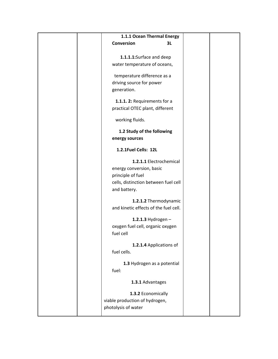| 1.1.1 Ocean Thermal Energy            |  |
|---------------------------------------|--|
| <b>Conversion</b><br>3L               |  |
|                                       |  |
| 1.1.1.1: Surface and deep             |  |
| water temperature of oceans,          |  |
| temperature difference as a           |  |
| driving source for power              |  |
| generation.                           |  |
|                                       |  |
| 1.1.1. 2: Requirements for a          |  |
| practical OTEC plant, different       |  |
|                                       |  |
| working fluids.                       |  |
| 1.2 Study of the following            |  |
| energy sources                        |  |
|                                       |  |
| 1.2.1Fuel Cells: 12L                  |  |
| 1.2.1.1 Electrochemical               |  |
| energy conversion, basic              |  |
| principle of fuel                     |  |
| cells, distinction between fuel cell  |  |
| and battery.                          |  |
|                                       |  |
| 1.2.1.2 Thermodynamic                 |  |
| and kinetic effects of the fuel cell. |  |
| $1.2.1.3$ Hydrogen -                  |  |
| oxygen fuel cell, organic oxygen      |  |
| fuel cell                             |  |
|                                       |  |
| 1.2.1.4 Applications of               |  |
| fuel cells.                           |  |
| 1.3 Hydrogen as a potential           |  |
| fuel:                                 |  |
|                                       |  |
| 1.3.1 Advantages                      |  |
| 1.3.2 Economically                    |  |
| viable production of hydrogen,        |  |
| photolysis of water                   |  |
|                                       |  |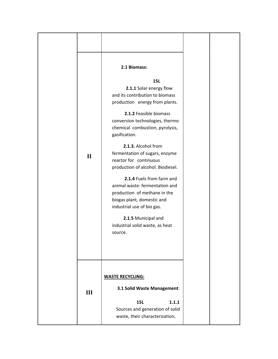| $\mathbf{I}$ | 2.1 Biomass:<br><b>15L</b><br>2.1.1 Solar energy flow<br>and its contribution to biomass<br>production energy from plants.<br>2.1.2 Feasible biomass<br>conversion technologies, thermo<br>chemical combustion, pyrolysis,<br>gasification.<br>2.1.3. Alcohol from<br>fermentation of sugars, enzyme<br>reactor for continuous<br>production of alcohol. Biodiesel.<br>2.1.4 Fuels from farm and<br>animal waste: fermentation and<br>production of methane in the<br>biogas plant, domestic and<br>industrial use of bio gas.<br>2.1.5 Municipal and<br>industrial solid waste, as heat<br>source. |  |
|--------------|-----------------------------------------------------------------------------------------------------------------------------------------------------------------------------------------------------------------------------------------------------------------------------------------------------------------------------------------------------------------------------------------------------------------------------------------------------------------------------------------------------------------------------------------------------------------------------------------------------|--|
| Ш            | <b>WASTE RECYCLING:</b><br>3.1 Solid Waste Management:<br><b>15L</b><br>1.1.1<br>Sources and generation of solid<br>waste, their characterization,                                                                                                                                                                                                                                                                                                                                                                                                                                                  |  |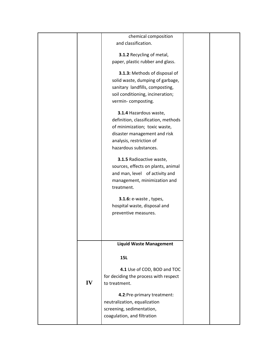|    | chemical composition                                          |  |
|----|---------------------------------------------------------------|--|
|    | and classification.                                           |  |
|    |                                                               |  |
|    | 3.1.2 Recycling of metal,<br>paper, plastic rubber and glass. |  |
|    |                                                               |  |
|    | 3.1.3: Methods of disposal of                                 |  |
|    | solid waste, dumping of garbage,                              |  |
|    | sanitary landfills, composting,                               |  |
|    | soil conditioning, incineration;                              |  |
|    | vermin-composting.                                            |  |
|    | 3.1.4 Hazardous waste,                                        |  |
|    | definition, classification, methods                           |  |
|    | of minimization; toxic waste,                                 |  |
|    | disaster management and risk                                  |  |
|    | analysis, restriction of                                      |  |
|    | hazardous substances.                                         |  |
|    | 3.1.5 Radioactive waste,                                      |  |
|    | sources, effects on plants, animal                            |  |
|    | and man, level of activity and                                |  |
|    | management, minimization and                                  |  |
|    | treatment.                                                    |  |
|    | <b>3.1.6: e-waste, types,</b>                                 |  |
|    |                                                               |  |
|    | hospital waste, disposal and                                  |  |
|    | preventive measures.                                          |  |
|    |                                                               |  |
|    |                                                               |  |
|    | <b>Liquid Waste Management</b>                                |  |
|    |                                                               |  |
|    | <b>15L</b>                                                    |  |
|    | 4.1 Use of COD, BOD and TOC                                   |  |
|    | for deciding the process with respect                         |  |
| IV | to treatment.                                                 |  |
|    | 4.2:Pre-primary treatment:                                    |  |
|    | neutralization, equalization                                  |  |
|    | screening, sedimentation,                                     |  |
|    | coagulation, and filtration                                   |  |
|    |                                                               |  |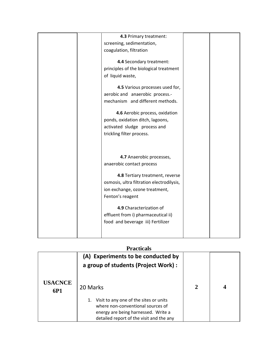| 4.3 Primary treatment:<br>screening, sedimentation,<br>coagulation, filtration<br>4.4 Secondary treatment:<br>principles of the biological treatment<br>of liquid waste,<br>4.5 Various processes used for,<br>aerobic and anaerobic process.-<br>mechanism and different methods.<br>4.6 Aerobic process, oxidation<br>ponds, oxidation ditch, lagoons,<br>activated sludge process and<br>trickling filter process. |  |
|-----------------------------------------------------------------------------------------------------------------------------------------------------------------------------------------------------------------------------------------------------------------------------------------------------------------------------------------------------------------------------------------------------------------------|--|
| 4.7 Anaerobic processes,<br>anaerobic contact process<br>4.8 Tertiary treatment, reverse<br>osmosis, ultra filtration electrodilysis,<br>ion exchange, ozone treatment,<br>Fenton's reagent<br>4.9 Characterization of<br>effluent from i) pharmaceutical ii)<br>food and beverage iii) Fertilizer                                                                                                                    |  |

|--|

|                       | (A) Experiments to be conducted by<br>a group of students (Project Work) :                                                                                           |              |  |
|-----------------------|----------------------------------------------------------------------------------------------------------------------------------------------------------------------|--------------|--|
| <b>USACNCE</b><br>6P1 | 20 Marks                                                                                                                                                             | $\mathbf{2}$ |  |
|                       | Visit to any one of the sites or units<br>1.<br>where non-conventional sources of<br>energy are being harnessed. Write a<br>detailed report of the visit and the any |              |  |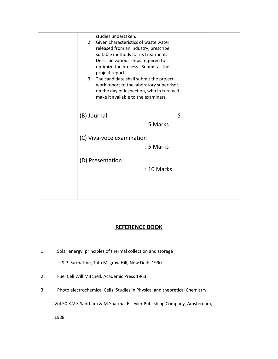|  | studies undertaken.                                                                                                                                                         |                                                                                                                                                                             |  |
|--|-----------------------------------------------------------------------------------------------------------------------------------------------------------------------------|-----------------------------------------------------------------------------------------------------------------------------------------------------------------------------|--|
|  | 2. Given characteristics of waste water                                                                                                                                     |                                                                                                                                                                             |  |
|  | released from an industry, prescribe<br>suitable methods for its treatment.<br>Describe various steps required to<br>optimize the process. Submit as the<br>project report. |                                                                                                                                                                             |  |
|  |                                                                                                                                                                             |                                                                                                                                                                             |  |
|  |                                                                                                                                                                             |                                                                                                                                                                             |  |
|  |                                                                                                                                                                             |                                                                                                                                                                             |  |
|  |                                                                                                                                                                             |                                                                                                                                                                             |  |
|  |                                                                                                                                                                             | 3. The candidate shall submit the project<br>work report to the laboratory supervisor,<br>on the day of inspection, who in turn will<br>make it available to the examiners. |  |
|  |                                                                                                                                                                             |                                                                                                                                                                             |  |
|  |                                                                                                                                                                             |                                                                                                                                                                             |  |
|  |                                                                                                                                                                             |                                                                                                                                                                             |  |
|  |                                                                                                                                                                             |                                                                                                                                                                             |  |
|  | (B) Journal                                                                                                                                                                 |                                                                                                                                                                             |  |
|  |                                                                                                                                                                             | S                                                                                                                                                                           |  |
|  |                                                                                                                                                                             | : 5 Marks                                                                                                                                                                   |  |
|  |                                                                                                                                                                             |                                                                                                                                                                             |  |
|  | (C) Viva-voce examination                                                                                                                                                   |                                                                                                                                                                             |  |
|  |                                                                                                                                                                             | : 5 Marks                                                                                                                                                                   |  |
|  |                                                                                                                                                                             |                                                                                                                                                                             |  |
|  | (D) Presentation                                                                                                                                                            |                                                                                                                                                                             |  |
|  |                                                                                                                                                                             | : 10 Marks                                                                                                                                                                  |  |
|  |                                                                                                                                                                             |                                                                                                                                                                             |  |
|  |                                                                                                                                                                             |                                                                                                                                                                             |  |
|  |                                                                                                                                                                             |                                                                                                                                                                             |  |
|  |                                                                                                                                                                             |                                                                                                                                                                             |  |
|  |                                                                                                                                                                             |                                                                                                                                                                             |  |

### **REFERENCE BOOK**

1 Solar energy: principles of thermal collection and storage

– S.P. Sukhatme, Tata Mcgraw Hill, New Delhi 1990

- 2 Fuel Cell Will Mitchell, Academic Press 1963
- 3 Photo electrochemical Cells: Studies in Physical and theoretical Chemistry,

Vol.50 K.V.S.Santham & M.Sharma, Elsevier Publishing Company, Amsterdam,

1988